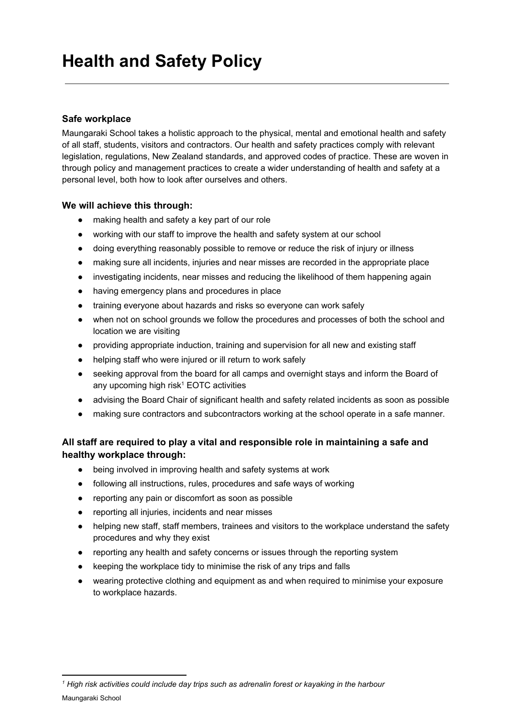# **Safe workplace**

Maungaraki School takes a holistic approach to the physical, mental and emotional health and safety of all staff, students, visitors and contractors. Our health and safety practices comply with relevant legislation, regulations, New Zealand standards, and approved codes of practice. These are woven in through policy and management practices to create a wider understanding of health and safety at a personal level, both how to look after ourselves and others.

# **We will achieve this through:**

- making health and safety a key part of our role
- working with our staff to improve the health and safety system at our school
- doing everything reasonably possible to remove or reduce the risk of injury or illness
- making sure all incidents, injuries and near misses are recorded in the appropriate place
- investigating incidents, near misses and reducing the likelihood of them happening again
- having emergency plans and procedures in place
- training everyone about hazards and risks so everyone can work safely
- when not on school grounds we follow the procedures and processes of both the school and location we are visiting
- providing appropriate induction, training and supervision for all new and existing staff
- helping staff who were injured or ill return to work safely
- seeking approval from the board for all camps and overnight stays and inform the Board of any upcoming high risk $1$  EOTC activities
- advising the Board Chair of significant health and safety related incidents as soon as possible
- making sure contractors and subcontractors working at the school operate in a safe manner.

# **All staff are required to play a vital and responsible role in maintaining a safe and healthy workplace through:**

- being involved in improving health and safety systems at work
- following all instructions, rules, procedures and safe ways of working
- reporting any pain or discomfort as soon as possible
- reporting all injuries, incidents and near misses
- helping new staff, staff members, trainees and visitors to the workplace understand the safety procedures and why they exist
- reporting any health and safety concerns or issues through the reporting system
- keeping the workplace tidy to minimise the risk of any trips and falls
- wearing protective clothing and equipment as and when required to minimise your exposure to workplace hazards.

*<sup>1</sup> High risk activities could include day trips such as adrenalin forest or kayaking in the harbour* Maungaraki School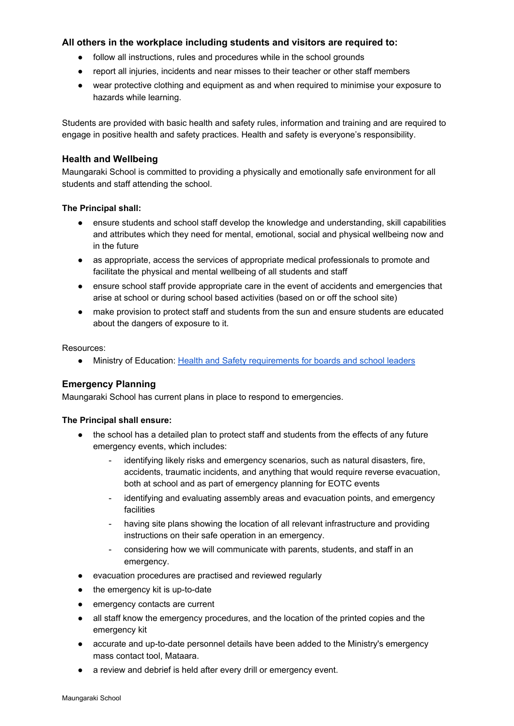# **All others in the workplace including students and visitors are required to:**

- follow all instructions, rules and procedures while in the school grounds
- report all injuries, incidents and near misses to their teacher or other staff members
- wear protective clothing and equipment as and when required to minimise your exposure to hazards while learning.

Students are provided with basic health and safety rules, information and training and are required to engage in positive health and safety practices. Health and safety is everyone's responsibility.

### **Health and Wellbeing**

Maungaraki School is committed to providing a physically and emotionally safe environment for all students and staff attending the school.

#### **The Principal shall:**

- ensure students and school staff develop the knowledge and understanding, skill capabilities and attributes which they need for mental, emotional, social and physical wellbeing now and in the future
- as appropriate, access the services of appropriate medical professionals to promote and facilitate the physical and mental wellbeing of all students and staff
- ensure school staff provide appropriate care in the event of accidents and emergencies that arise at school or during school based activities (based on or off the school site)
- make provision to protect staff and students from the sun and ensure students are educated about the dangers of exposure to it.

Resources:

● Ministry of Education: Health and Safety [requirements](http://www.education.govt.nz/school/health-safety-and-wellbeing/health-and-safety-requirements/h-and-s-for-boards-of-trustees-and-school-leaders/) for boards and school leaders

# **Emergency Planning**

Maungaraki School has current plans in place to respond to emergencies.

#### **The Principal shall ensure:**

- the school has a detailed plan to protect staff and students from the effects of any future emergency events, which includes:
	- identifying likely risks and emergency scenarios, such as natural disasters, fire, accidents, traumatic incidents, and anything that would require reverse evacuation, both at school and as part of emergency planning for EOTC events
	- identifying and evaluating assembly areas and evacuation points, and emergency facilities
	- having site plans showing the location of all relevant infrastructure and providing instructions on their safe operation in an emergency.
	- considering how we will communicate with parents, students, and staff in an emergency.
- evacuation procedures are practised and reviewed regularly
- the emergency kit is up-to-date
- emergency contacts are current
- all staff know the emergency procedures, and the location of the printed copies and the emergency kit
- accurate and up-to-date personnel details have been added to the Ministry's emergency mass contact tool, Mataara.
- a review and debrief is held after every drill or emergency event.